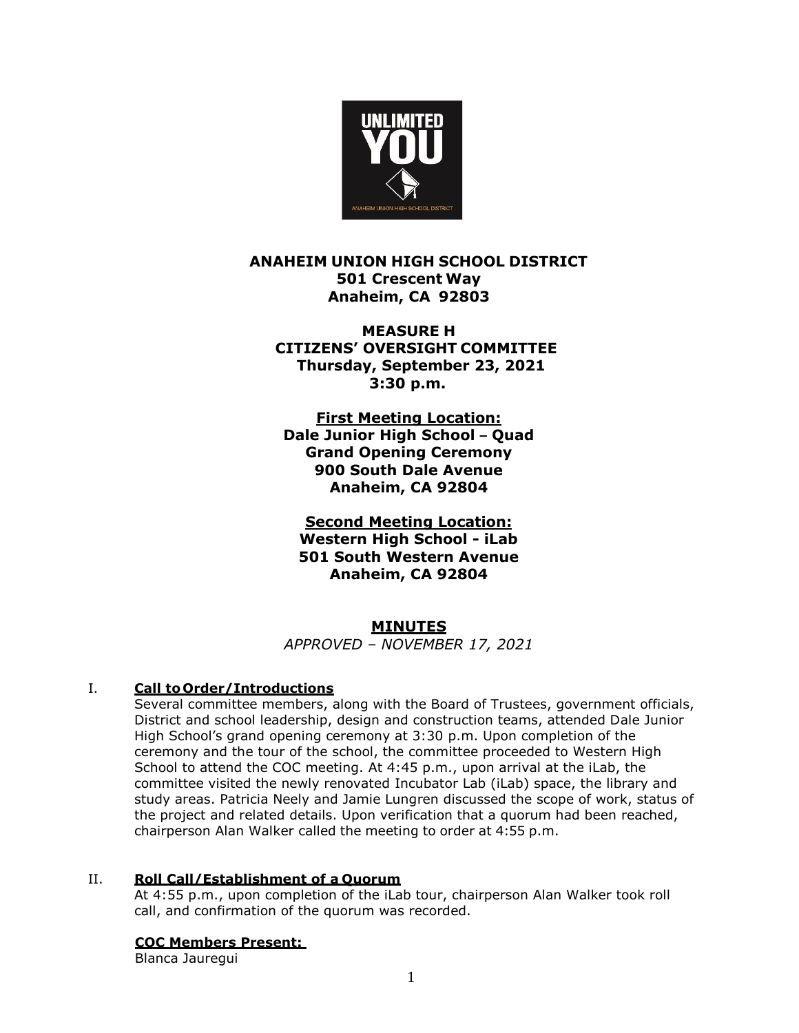

**ANAHEIM UNION HIGH SCHOOL DISTRICT 501 Crescent Way Anaheim, CA 92803**

**MEASURE H CITIZENS' OVERSIGHT COMMITTEE Thursday, September 23, 2021 3:30 p.m.**

**First Meeting Location: Dale Junior High School – Quad Grand Opening Ceremony 900 South Dale Avenue Anaheim, CA 92804**

**Second Meeting Location: Western High School - iLab 501 South Western Avenue Anaheim, CA 92804**

# **MINUTES**

*APPROVED – NOVEMBER 17, 2021*

# I. **Call to Order/Introductions**

Several committee members, along with the Board of Trustees, government officials, District and school leadership, design and construction teams, attended Dale Junior High School's grand opening ceremony at 3:30 p.m. Upon completion of the ceremony and the tour of the school, the committee proceeded to Western High School to attend the COC meeting. At 4:45 p.m., upon arrival at the iLab, the committee visited the newly renovated Incubator Lab (iLab) space, the library and study areas. Patricia Neely and Jamie Lungren discussed the scope of work, status of the project and related details. Upon verification that a quorum had been reached, chairperson Alan Walker called the meeting to order at 4:55 p.m.

## II. **Roll Call/Establishment of a Quorum**

At 4:55 p.m., upon completion of the iLab tour, chairperson Alan Walker took roll call, and confirmation of the quorum was recorded.

## **COC Members Present:**

Blanca Jauregui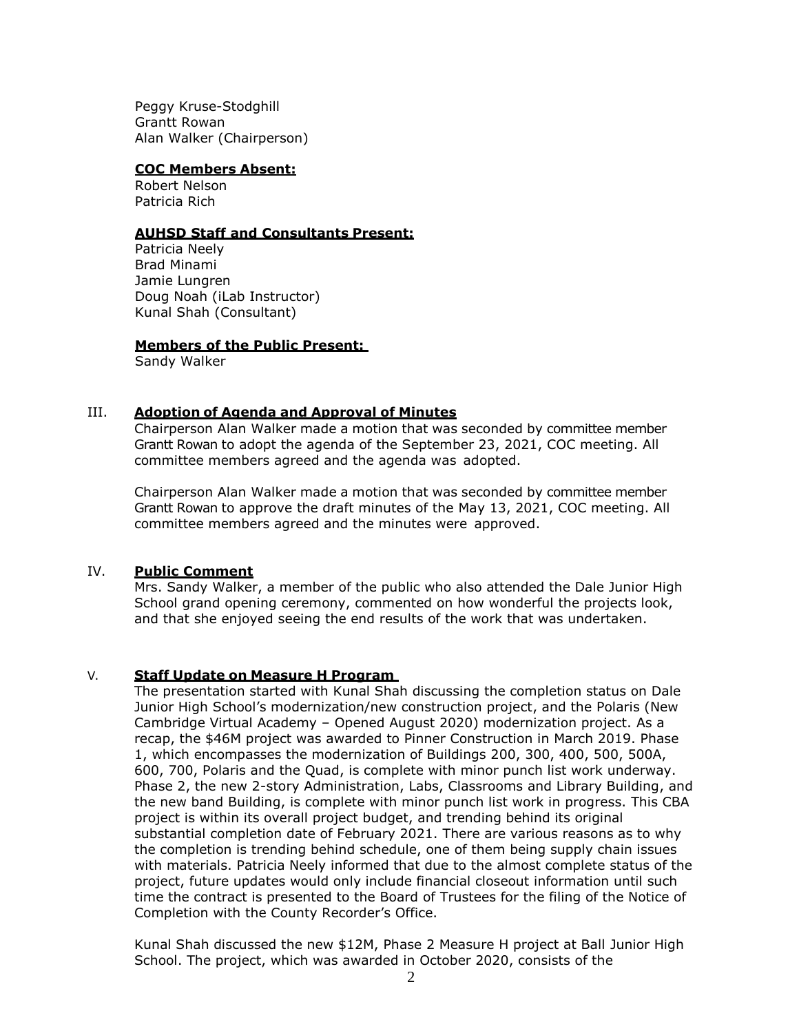Peggy Kruse-Stodghill Grantt Rowan Alan Walker (Chairperson)

#### **COC Members Absent:**

Robert Nelson Patricia Rich

## **AUHSD Staff and Consultants Present:**

Patricia Neely Brad Minami Jamie Lungren Doug Noah (iLab Instructor) Kunal Shah (Consultant)

## **Members of the Public Present:**

Sandy Walker

## III. **Adoption of Agenda and Approval of Minutes**

Chairperson Alan Walker made a motion that was seconded by committee member Grantt Rowan to adopt the agenda of the September 23, 2021, COC meeting. All committee members agreed and the agenda was adopted.

Chairperson Alan Walker made a motion that was seconded by committee member Grantt Rowan to approve the draft minutes of the May 13, 2021, COC meeting. All committee members agreed and the minutes were approved.

## IV. **Public Comment**

Mrs. Sandy Walker, a member of the public who also attended the Dale Junior High School grand opening ceremony, commented on how wonderful the projects look, and that she enjoyed seeing the end results of the work that was undertaken.

## V. **Staff Update on Measure H Program**

The presentation started with Kunal Shah discussing the completion status on Dale Junior High School's modernization/new construction project, and the Polaris (New Cambridge Virtual Academy – Opened August 2020) modernization project. As a recap, the \$46M project was awarded to Pinner Construction in March 2019. Phase 1, which encompasses the modernization of Buildings 200, 300, 400, 500, 500A, 600, 700, Polaris and the Quad, is complete with minor punch list work underway. Phase 2, the new 2-story Administration, Labs, Classrooms and Library Building, and the new band Building, is complete with minor punch list work in progress. This CBA project is within its overall project budget, and trending behind its original substantial completion date of February 2021. There are various reasons as to why the completion is trending behind schedule, one of them being supply chain issues with materials. Patricia Neely informed that due to the almost complete status of the project, future updates would only include financial closeout information until such time the contract is presented to the Board of Trustees for the filing of the Notice of Completion with the County Recorder's Office.

Kunal Shah discussed the new \$12M, Phase 2 Measure H project at Ball Junior High School. The project, which was awarded in October 2020, consists of the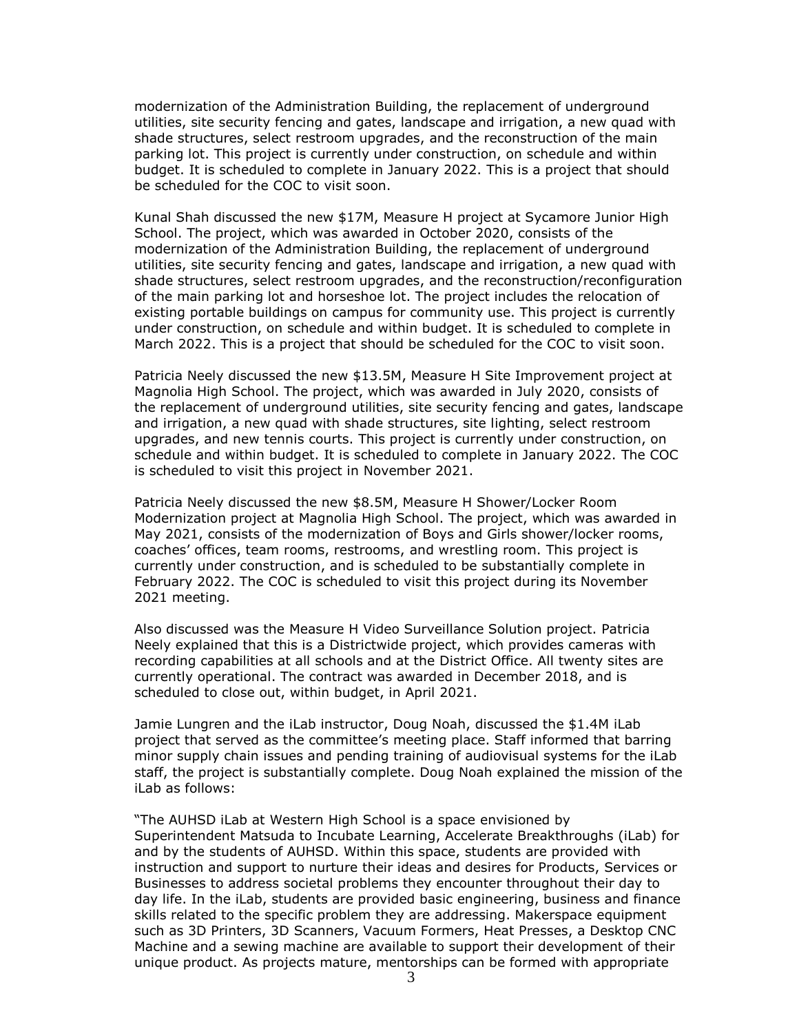modernization of the Administration Building, the replacement of underground utilities, site security fencing and gates, landscape and irrigation, a new quad with shade structures, select restroom upgrades, and the reconstruction of the main parking lot. This project is currently under construction, on schedule and within budget. It is scheduled to complete in January 2022. This is a project that should be scheduled for the COC to visit soon.

Kunal Shah discussed the new \$17M, Measure H project at Sycamore Junior High School. The project, which was awarded in October 2020, consists of the modernization of the Administration Building, the replacement of underground utilities, site security fencing and gates, landscape and irrigation, a new quad with shade structures, select restroom upgrades, and the reconstruction/reconfiguration of the main parking lot and horseshoe lot. The project includes the relocation of existing portable buildings on campus for community use. This project is currently under construction, on schedule and within budget. It is scheduled to complete in March 2022. This is a project that should be scheduled for the COC to visit soon.

Patricia Neely discussed the new \$13.5M, Measure H Site Improvement project at Magnolia High School. The project, which was awarded in July 2020, consists of the replacement of underground utilities, site security fencing and gates, landscape and irrigation, a new quad with shade structures, site lighting, select restroom upgrades, and new tennis courts. This project is currently under construction, on schedule and within budget. It is scheduled to complete in January 2022. The COC is scheduled to visit this project in November 2021.

Patricia Neely discussed the new \$8.5M, Measure H Shower/Locker Room Modernization project at Magnolia High School. The project, which was awarded in May 2021, consists of the modernization of Boys and Girls shower/locker rooms, coaches' offices, team rooms, restrooms, and wrestling room. This project is currently under construction, and is scheduled to be substantially complete in February 2022. The COC is scheduled to visit this project during its November 2021 meeting.

Also discussed was the Measure H Video Surveillance Solution project. Patricia Neely explained that this is a Districtwide project, which provides cameras with recording capabilities at all schools and at the District Office. All twenty sites are currently operational. The contract was awarded in December 2018, and is scheduled to close out, within budget, in April 2021.

Jamie Lungren and the iLab instructor, Doug Noah, discussed the \$1.4M iLab project that served as the committee's meeting place. Staff informed that barring minor supply chain issues and pending training of audiovisual systems for the iLab staff, the project is substantially complete. Doug Noah explained the mission of the iLab as follows:

"The AUHSD iLab at Western High School is a space envisioned by Superintendent Matsuda to Incubate Learning, Accelerate Breakthroughs (iLab) for and by the students of AUHSD. Within this space, students are provided with instruction and support to nurture their ideas and desires for Products, Services or Businesses to address societal problems they encounter throughout their day to day life. In the iLab, students are provided basic engineering, business and finance skills related to the specific problem they are addressing. Makerspace equipment such as 3D Printers, 3D Scanners, Vacuum Formers, Heat Presses, a Desktop CNC Machine and a sewing machine are available to support their development of their unique product. As projects mature, mentorships can be formed with appropriate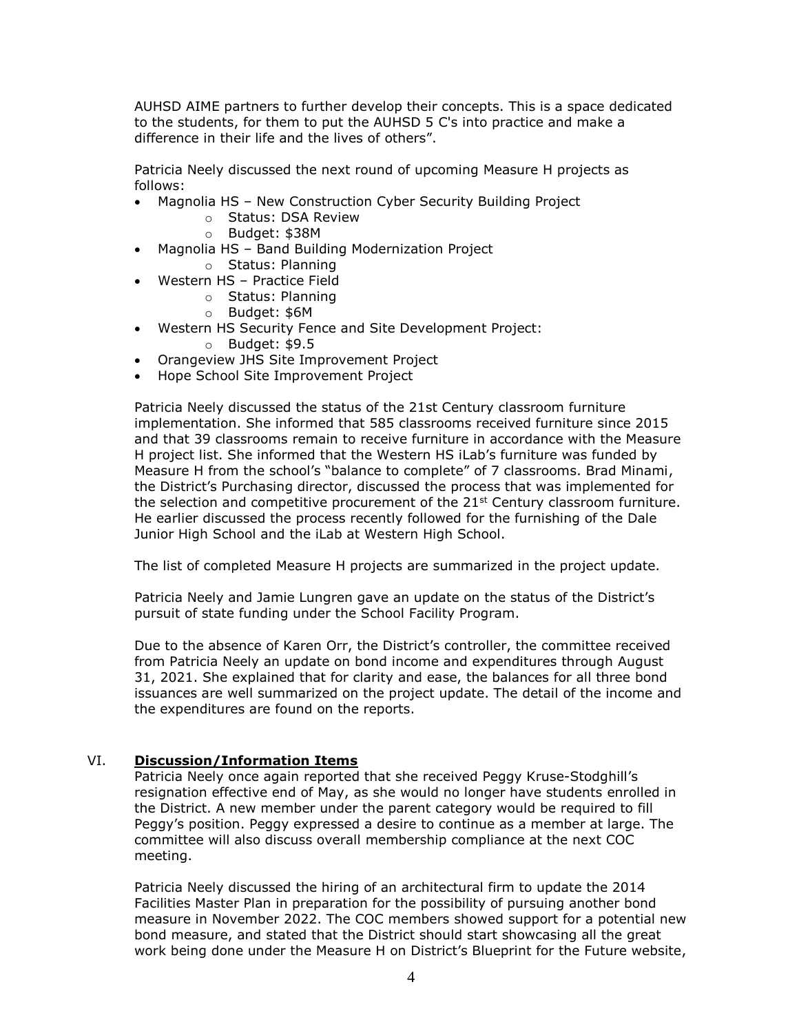AUHSD AIME partners to further develop their concepts. This is a space dedicated to the students, for them to put the AUHSD 5 C's into practice and make a difference in their life and the lives of others".

Patricia Neely discussed the next round of upcoming Measure H projects as follows:

- Magnolia HS New Construction Cyber Security Building Project
	- o Status: DSA Review
	- o Budget: \$38M
- Magnolia HS Band Building Modernization Project
	- o Status: Planning
- Western HS Practice Field
	- o Status: Planning
	- o Budget: \$6M
- Western HS Security Fence and Site Development Project:
	- o Budget: \$9.5
- Orangeview JHS Site Improvement Project
- Hope School Site Improvement Project

Patricia Neely discussed the status of the 21st Century classroom furniture implementation. She informed that 585 classrooms received furniture since 2015 and that 39 classrooms remain to receive furniture in accordance with the Measure H project list. She informed that the Western HS iLab's furniture was funded by Measure H from the school's "balance to complete" of 7 classrooms. Brad Minami, the District's Purchasing director, discussed the process that was implemented for the selection and competitive procurement of the  $21^{st}$  Century classroom furniture. He earlier discussed the process recently followed for the furnishing of the Dale Junior High School and the iLab at Western High School.

The list of completed Measure H projects are summarized in the project update.

Patricia Neely and Jamie Lungren gave an update on the status of the District's pursuit of state funding under the School Facility Program.

Due to the absence of Karen Orr, the District's controller, the committee received from Patricia Neely an update on bond income and expenditures through August 31, 2021. She explained that for clarity and ease, the balances for all three bond issuances are well summarized on the project update. The detail of the income and the expenditures are found on the reports.

## VI. **Discussion/Information Items**

Patricia Neely once again reported that she received Peggy Kruse-Stodghill's resignation effective end of May, as she would no longer have students enrolled in the District. A new member under the parent category would be required to fill Peggy's position. Peggy expressed a desire to continue as a member at large. The committee will also discuss overall membership compliance at the next COC meeting.

Patricia Neely discussed the hiring of an architectural firm to update the 2014 Facilities Master Plan in preparation for the possibility of pursuing another bond measure in November 2022. The COC members showed support for a potential new bond measure, and stated that the District should start showcasing all the great work being done under the Measure H on District's Blueprint for the Future website,